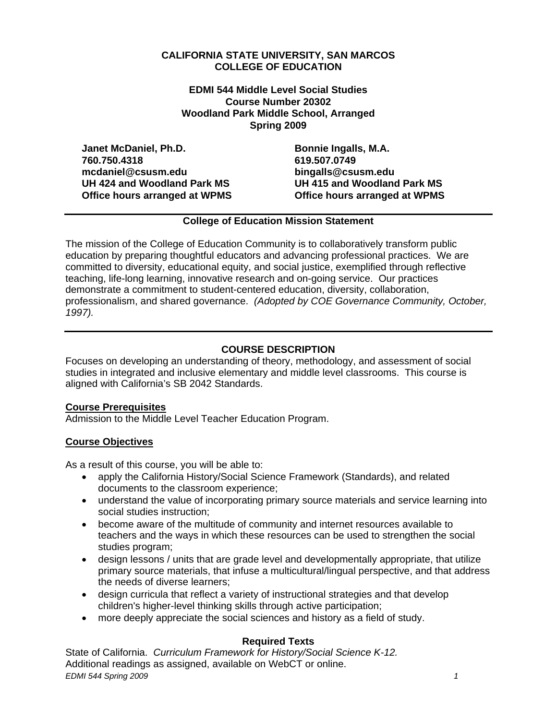# **CALIFORNIA STATE UNIVERSITY, SAN MARCOS COLLEGE OF EDUCATION**

**EDMI 544 Middle Level Social Studies Course Number 20302 Woodland Park Middle School, Arranged Spring 2009** 

Janet McDaniel, Ph.D. **Bonnie Ingalls, M.A. Bonnie Ingalls**, M.A. **760.750.4318 619.507.0749 mcdaniel@csusm.edu bingalls@csusm.edu UH 424 and Woodland Park MS UH 415 and Woodland Park MS Office hours arranged at WPMS Office hours arranged at WPMS** 

# **College of Education Mission Statement**

The mission of the College of Education Community is to collaboratively transform public education by preparing thoughtful educators and advancing professional practices. We are committed to diversity, educational equity, and social justice, exemplified through reflective teaching, life-long learning, innovative research and on-going service. Our practices demonstrate a commitment to student-centered education, diversity, collaboration, professionalism, and shared governance. *(Adopted by COE Governance Community, October, 1997).* 

# **COURSE DESCRIPTION**

Focuses on developing an understanding of theory, methodology, and assessment of social studies in integrated and inclusive elementary and middle level classrooms. This course is aligned with California's SB 2042 Standards.

# **Course Prerequisites**

Admission to the Middle Level Teacher Education Program.

# **Course Objectives**

As a result of this course, you will be able to:

- apply the California History/Social Science Framework (Standards), and related documents to the classroom experience;
- understand the value of incorporating primary source materials and service learning into social studies instruction;
- become aware of the multitude of community and internet resources available to teachers and the ways in which these resources can be used to strengthen the social studies program;
- design lessons / units that are grade level and developmentally appropriate, that utilize primary source materials, that infuse a multicultural/lingual perspective, and that address the needs of diverse learners;
- design curricula that reflect a variety of instructional strategies and that develop children's higher-level thinking skills through active participation;
- more deeply appreciate the social sciences and history as a field of study.

# **Required Texts**

State of California. *Curriculum Framework for History/Social Science K-12.*  Additional readings as assigned, available on WebCT or online. *EDMI 544 Spring 2009* 1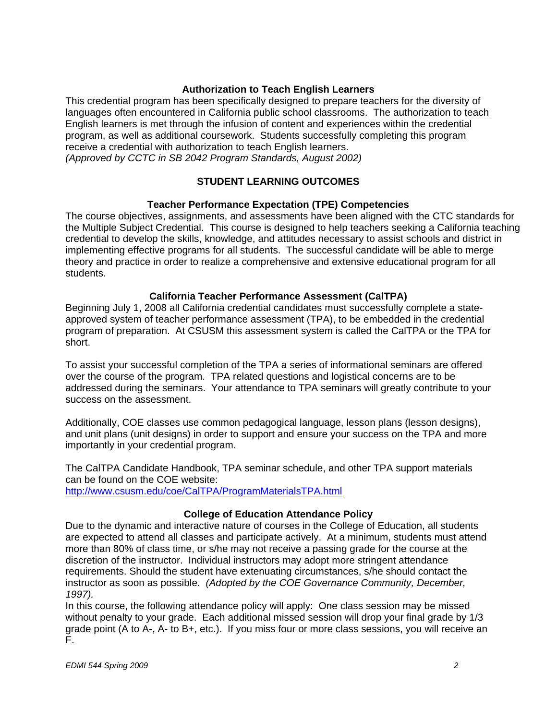# **Authorization to Teach English Learners**

This credential program has been specifically designed to prepare teachers for the diversity of languages often encountered in California public school classrooms. The authorization to teach English learners is met through the infusion of content and experiences within the credential program, as well as additional coursework. Students successfully completing this program receive a credential with authorization to teach English learners. *(Approved by CCTC in SB 2042 Program Standards, August 2002)* 

**STUDENT LEARNING OUTCOMES** 

### **Teacher Performance Expectation (TPE) Competencies**

The course objectives, assignments, and assessments have been aligned with the CTC standards for the Multiple Subject Credential. This course is designed to help teachers seeking a California teaching credential to develop the skills, knowledge, and attitudes necessary to assist schools and district in implementing effective programs for all students. The successful candidate will be able to merge theory and practice in order to realize a comprehensive and extensive educational program for all students.

### **California Teacher Performance Assessment (CalTPA)**

Beginning July 1, 2008 all California credential candidates must successfully complete a stateapproved system of teacher performance assessment (TPA), to be embedded in the credential program of preparation. At CSUSM this assessment system is called the CalTPA or the TPA for short.

To assist your successful completion of the TPA a series of informational seminars are offered over the course of the program. TPA related questions and logistical concerns are to be addressed during the seminars. Your attendance to TPA seminars will greatly contribute to your success on the assessment.

Additionally, COE classes use common pedagogical language, lesson plans (lesson designs), and unit plans (unit designs) in order to support and ensure your success on the TPA and more importantly in your credential program.

The CalTPA Candidate Handbook, TPA seminar schedule, and other TPA support materials can be found on the COE website: http://www.csusm.edu/coe/CalTPA/ProgramMaterialsTPA.html

#### **College of Education Attendance Policy**

 *1997).* Due to the dynamic and interactive nature of courses in the College of Education, all students are expected to attend all classes and participate actively. At a minimum, students must attend more than 80% of class time, or s/he may not receive a passing grade for the course at the discretion of the instructor. Individual instructors may adopt more stringent attendance requirements. Should the student have extenuating circumstances, s/he should contact the instructor as soon as possible. *(Adopted by the COE Governance Community, December,* 

In this course, the following attendance policy will apply: One class session may be missed without penalty to your grade. Each additional missed session will drop your final grade by 1/3 grade point (A to A-, A- to B+, etc.). If you miss four or more class sessions, you will receive an F.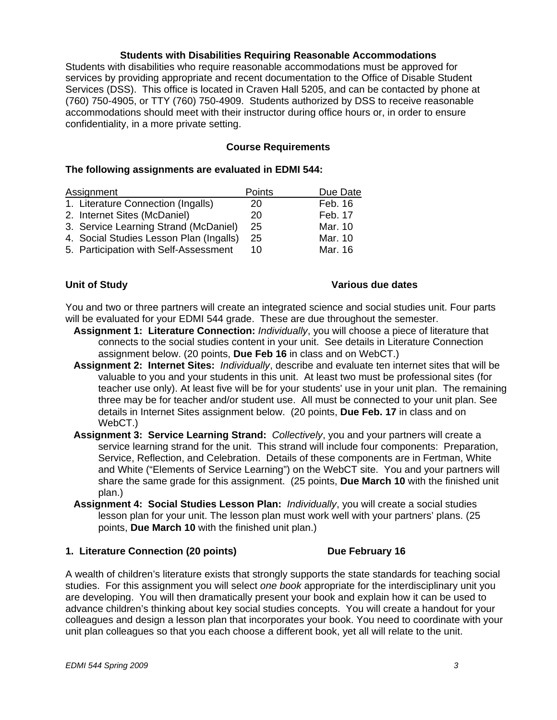### **Students with Disabilities Requiring Reasonable Accommodations**

Students with disabilities who require reasonable accommodations must be approved for services by providing appropriate and recent documentation to the Office of Disable Student Services (DSS). This office is located in Craven Hall 5205, and can be contacted by phone at (760) 750-4905, or TTY (760) 750-4909. Students authorized by DSS to receive reasonable accommodations should meet with their instructor during office hours or, in order to ensure confidentiality, in a more private setting.

#### **Course Requirements**

#### **The following assignments are evaluated in EDMI 544:**

| Assignment                              | Points | Due Date |
|-----------------------------------------|--------|----------|
| 1. Literature Connection (Ingalls)      | 20     | Feb. 16  |
| 2. Internet Sites (McDaniel)            | 20     | Feb. 17  |
| 3. Service Learning Strand (McDaniel)   | 25     | Mar. 10  |
| 4. Social Studies Lesson Plan (Ingalls) | 25     | Mar. 10  |
| 5. Participation with Self-Assessment   | 10     | Mar. 16  |

# **Unit of Study**

# **Various due dates**

You and two or three partners will create an integrated science and social studies unit. Four parts will be evaluated for your EDMI 544 grade. These are due throughout the semester.

- **Assignment 1: Literature Connection:** *Individually*, you will choose a piece of literature that connects to the social studies content in your unit. See details in Literature Connection assignment below. (20 points, **Due Feb 16** in class and on WebCT.)
- **Assignment 2: Internet Sites:** *Individually*, describe and evaluate ten internet sites that will be valuable to you and your students in this unit. At least two must be professional sites (for teacher use only). At least five will be for your students' use in your unit plan. The remaining three may be for teacher and/or student use. All must be connected to your unit plan. See details in Internet Sites assignment below. (20 points, **Due Feb. 17** in class and on WebCT.)
- **Assignment 3: Service Learning Strand:** *Collectively*, you and your partners will create a service learning strand for the unit. This strand will include four components: Preparation, Service, Reflection, and Celebration. Details of these components are in Fertman, White and White ("Elements of Service Learning") on the WebCT site. You and your partners will share the same grade for this assignment. (25 points, **Due March 10** with the finished unit plan.)
- **Assignment 4: Social Studies Lesson Plan:** *Individually*, you will create a social studies lesson plan for your unit. The lesson plan must work well with your partners' plans. (25 points, **Due March 10** with the finished unit plan.)

#### **1. Literature Connection (20 points) Connection Current Connection Current Current Current Current Current Current Current Current Current Current Current Current Current Current Current Current Current Current Current Cu**

A wealth of children's literature exists that strongly supports the state standards for teaching social studies. For this assignment you will select *one book* appropriate for the interdisciplinary unit you are developing. You will then dramatically present your book and explain how it can be used to advance children's thinking about key social studies concepts. You will create a handout for your colleagues and design a lesson plan that incorporates your book. You need to coordinate with your unit plan colleagues so that you each choose a different book, yet all will relate to the unit.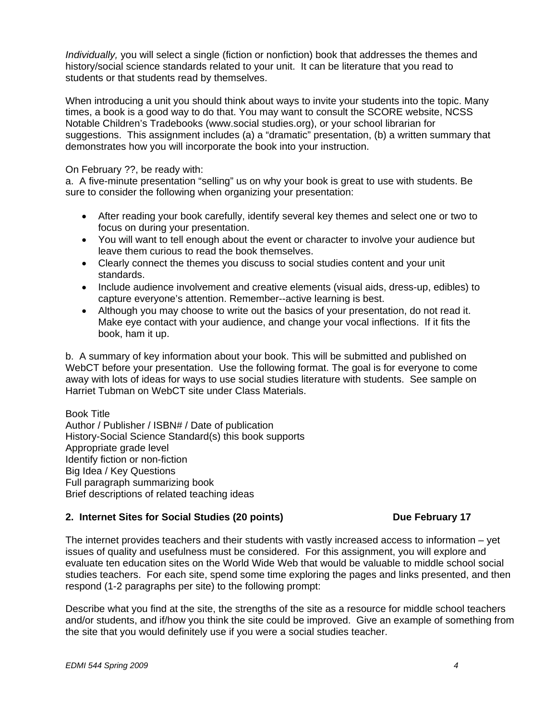*Individually,* you will select a single (fiction or nonfiction) book that addresses the themes and history/social science standards related to your unit. It can be literature that you read to students or that students read by themselves.

When introducing a unit you should think about ways to invite your students into the topic. Many times, a book is a good way to do that. You may want to consult the SCORE website, NCSS Notable Children's Tradebooks (www.social studies.org), or your school librarian for suggestions. This assignment includes (a) a "dramatic" presentation, (b) a written summary that demonstrates how you will incorporate the book into your instruction.

On February ??, be ready with:

a. A five-minute presentation "selling" us on why your book is great to use with students. Be sure to consider the following when organizing your presentation:

- After reading your book carefully, identify several key themes and select one or two to focus on during your presentation.
- You will want to tell enough about the event or character to involve your audience but leave them curious to read the book themselves.
- Clearly connect the themes you discuss to social studies content and your unit standards.
- Include audience involvement and creative elements (visual aids, dress-up, edibles) to capture everyone's attention. Remember--active learning is best.
- Although you may choose to write out the basics of your presentation, do not read it. Make eye contact with your audience, and change your vocal inflections. If it fits the book, ham it up.

b. A summary of key information about your book. This will be submitted and published on WebCT before your presentation. Use the following format. The goal is for everyone to come away with lots of ideas for ways to use social studies literature with students. See sample on Harriet Tubman on WebCT site under Class Materials.

Book Title Author / Publisher / ISBN# / Date of publication History-Social Science Standard(s) this book supports Appropriate grade level Identify fiction or non-fiction Big Idea / Key Questions Full paragraph summarizing book Brief descriptions of related teaching ideas

# **2. Internet Sites for Social Studies (20 points) Community Contrary 17 Algebruary 17 Algebruary 17 Algebruary 17**

The internet provides teachers and their students with vastly increased access to information – yet issues of quality and usefulness must be considered. For this assignment, you will explore and evaluate ten education sites on the World Wide Web that would be valuable to middle school social studies teachers. For each site, spend some time exploring the pages and links presented, and then respond (1-2 paragraphs per site) to the following prompt:

Describe what you find at the site, the strengths of the site as a resource for middle school teachers and/or students, and if/how you think the site could be improved. Give an example of something from the site that you would definitely use if you were a social studies teacher.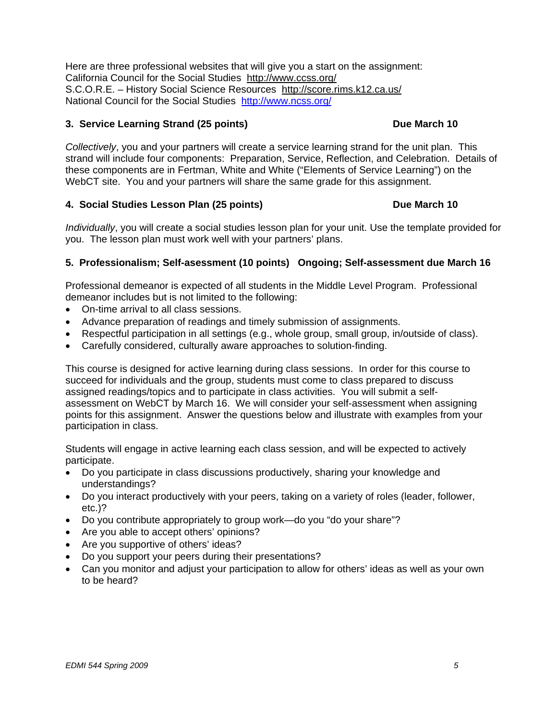Here are three professional websites that will give you a start on the assignment: California Council for the Social Studies http://www.ccss.org/ S.C.O.R.E. – History Social Science Resources http://score.rims.k12.ca.us/ National Council for the Social Studies http://www.ncss.org/

### **3. Service Learning Strand (25 points) Due March 10 Due March 10**

*Collectively*, you and your partners will create a service learning strand for the unit plan. This strand will include four components: Preparation, Service, Reflection, and Celebration. Details of these components are in Fertman, White and White ("Elements of Service Learning") on the WebCT site. You and your partners will share the same grade for this assignment.

### **4. Social Studies Lesson Plan (25 points) Due March 10**

*Individually*, you will create a social studies lesson plan for your unit. Use the template provided for you. The lesson plan must work well with your partners' plans.

# **5. Professionalism; Self-asessment (10 points) Ongoing; Self-assessment due March 16**

Professional demeanor is expected of all students in the Middle Level Program. Professional demeanor includes but is not limited to the following:

- On-time arrival to all class sessions.
- Advance preparation of readings and timely submission of assignments.
- Respectful participation in all settings (e.g., whole group, small group, in/outside of class).
- • Carefully considered, culturally aware approaches to solution-finding.

This course is designed for active learning during class sessions. In order for this course to succeed for individuals and the group, students must come to class prepared to discuss assigned readings/topics and to participate in class activities. You will submit a selfassessment on WebCT by March 16. We will consider your self-assessment when assigning points for this assignment. Answer the questions below and illustrate with examples from your participation in class.

Students will engage in active learning each class session, and will be expected to actively participate.

- Do you participate in class discussions productively, sharing your knowledge and understandings?
- Do you interact productively with your peers, taking on a variety of roles (leader, follower, etc.)?
- Do you contribute appropriately to group work—do you "do your share"?
- Are you able to accept others' opinions?
- Are you supportive of others' ideas?
- Do you support your peers during their presentations?
- Can you monitor and adjust your participation to allow for others' ideas as well as your own to be heard?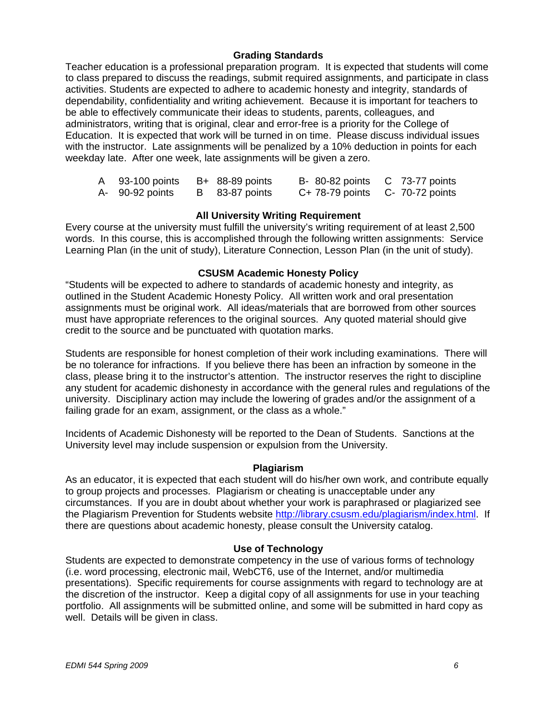# **Grading Standards**

Teacher education is a professional preparation program. It is expected that students will come to class prepared to discuss the readings, submit required assignments, and participate in class activities. Students are expected to adhere to academic honesty and integrity, standards of dependability, confidentiality and writing achievement. Because it is important for teachers to be able to effectively communicate their ideas to students, parents, colleagues, and administrators, writing that is original, clear and error-free is a priority for the College of Education. It is expected that work will be turned in on time. Please discuss individual issues with the instructor. Late assignments will be penalized by a 10% deduction in points for each weekday late. After one week, late assignments will be given a zero.

| A 93-100 points | $B+ 88-89$ points | B- 80-82 points C 73-77 points      |  |
|-----------------|-------------------|-------------------------------------|--|
| A- 90-92 points | B 83-87 points    | $C+ 78-79$ points $C- 70-72$ points |  |

#### **All University Writing Requirement**

Every course at the university must fulfill the university's writing requirement of at least 2,500 words. In this course, this is accomplished through the following written assignments: Service Learning Plan (in the unit of study), Literature Connection, Lesson Plan (in the unit of study).

### **CSUSM Academic Honesty Policy**

"Students will be expected to adhere to standards of academic honesty and integrity, as outlined in the Student Academic Honesty Policy. All written work and oral presentation assignments must be original work. All ideas/materials that are borrowed from other sources must have appropriate references to the original sources. Any quoted material should give credit to the source and be punctuated with quotation marks.

Students are responsible for honest completion of their work including examinations. There will be no tolerance for infractions. If you believe there has been an infraction by someone in the class, please bring it to the instructor's attention. The instructor reserves the right to discipline any student for academic dishonesty in accordance with the general rules and regulations of the university. Disciplinary action may include the lowering of grades and/or the assignment of a failing grade for an exam, assignment, or the class as a whole."

Incidents of Academic Dishonesty will be reported to the Dean of Students. Sanctions at the University level may include suspension or expulsion from the University.

#### **Plagiarism**

As an educator, it is expected that each student will do his/her own work, and contribute equally to group projects and processes. Plagiarism or cheating is unacceptable under any circumstances. If you are in doubt about whether your work is paraphrased or plagiarized see the Plagiarism Prevention for Students website http://library.csusm.edu/plagiarism/index.html. If there are questions about academic honesty, please consult the University catalog.

#### **Use of Technology**

Students are expected to demonstrate competency in the use of various forms of technology (i.e. word processing, electronic mail, WebCT6, use of the Internet, and/or multimedia presentations). Specific requirements for course assignments with regard to technology are at the discretion of the instructor. Keep a digital copy of all assignments for use in your teaching portfolio. All assignments will be submitted online, and some will be submitted in hard copy as well. Details will be given in class.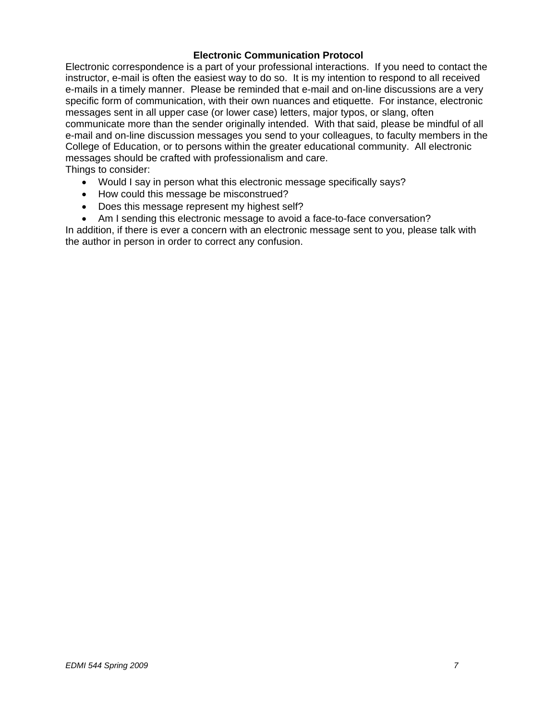# **Electronic Communication Protocol**

Electronic correspondence is a part of your professional interactions. If you need to contact the instructor, e-mail is often the easiest way to do so. It is my intention to respond to all received e-mails in a timely manner. Please be reminded that e-mail and on-line discussions are a very specific form of communication, with their own nuances and etiquette. For instance, electronic messages sent in all upper case (or lower case) letters, major typos, or slang, often communicate more than the sender originally intended. With that said, please be mindful of all e-mail and on-line discussion messages you send to your colleagues, to faculty members in the College of Education, or to persons within the greater educational community. All electronic messages should be crafted with professionalism and care. Things to consider:

- Would I say in person what this electronic message specifically says?
- How could this message be misconstrued?
- Does this message represent my highest self?
- Am I sending this electronic message to avoid a face-to-face conversation?

In addition, if there is ever a concern with an electronic message sent to you, please talk with the author in person in order to correct any confusion.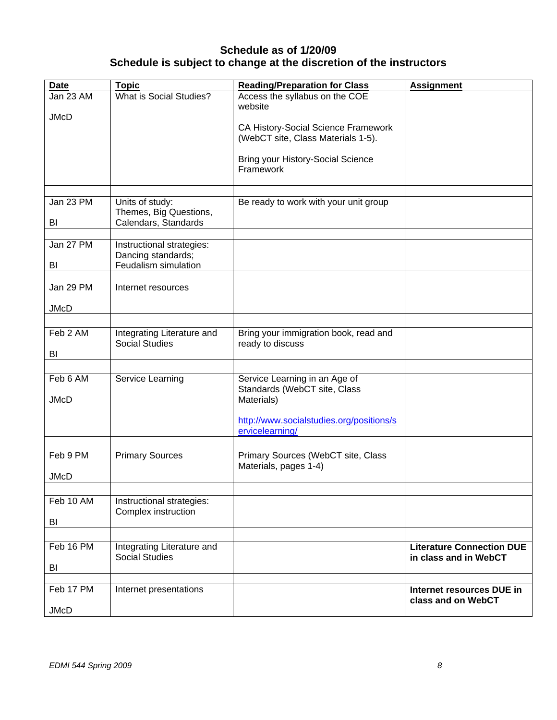# **Schedule as of 1/20/09 Schedule is subject to change at the discretion of the instructors**

| <b>Date</b>             | <b>Topic</b>                                                            | <b>Reading/Preparation for Class</b>                                        | <b>Assignment</b>                |
|-------------------------|-------------------------------------------------------------------------|-----------------------------------------------------------------------------|----------------------------------|
| Jan 23 AM               | What is Social Studies?                                                 | Access the syllabus on the COE<br>website                                   |                                  |
| <b>JMcD</b>             |                                                                         | CA History-Social Science Framework<br>(WebCT site, Class Materials 1-5).   |                                  |
|                         |                                                                         | <b>Bring your History-Social Science</b><br>Framework                       |                                  |
|                         |                                                                         |                                                                             |                                  |
| Jan 23 PM<br>BI         | Units of study:<br>Themes, Big Questions,<br>Calendars, Standards       | Be ready to work with your unit group                                       |                                  |
|                         |                                                                         |                                                                             |                                  |
| Jan 27 PM<br>BI         | Instructional strategies:<br>Dancing standards;<br>Feudalism simulation |                                                                             |                                  |
|                         |                                                                         |                                                                             |                                  |
| Jan 29 PM               | Internet resources                                                      |                                                                             |                                  |
| <b>JMcD</b>             |                                                                         |                                                                             |                                  |
|                         |                                                                         |                                                                             |                                  |
| Feb 2 AM<br>BI          | Integrating Literature and<br><b>Social Studies</b>                     | Bring your immigration book, read and<br>ready to discuss                   |                                  |
|                         |                                                                         |                                                                             |                                  |
| Feb 6 AM<br><b>JMcD</b> | Service Learning                                                        | Service Learning in an Age of<br>Standards (WebCT site, Class<br>Materials) |                                  |
|                         |                                                                         | http://www.socialstudies.org/positions/s<br>ervicelearning/                 |                                  |
|                         |                                                                         |                                                                             |                                  |
| Feb 9 PM                | <b>Primary Sources</b>                                                  | Primary Sources (WebCT site, Class<br>Materials, pages 1-4)                 |                                  |
| <b>JMcD</b>             |                                                                         |                                                                             |                                  |
| Feb 10 AM               |                                                                         |                                                                             |                                  |
|                         | Instructional strategies:<br>Complex instruction                        |                                                                             |                                  |
| BI                      |                                                                         |                                                                             |                                  |
| Feb 16 PM               | Integrating Literature and                                              |                                                                             | <b>Literature Connection DUE</b> |
|                         | <b>Social Studies</b>                                                   |                                                                             | in class and in WebCT            |
| BI                      |                                                                         |                                                                             |                                  |
| Feb 17 PM               | Internet presentations                                                  |                                                                             | Internet resources DUE in        |
| <b>JMcD</b>             |                                                                         |                                                                             | class and on WebCT               |